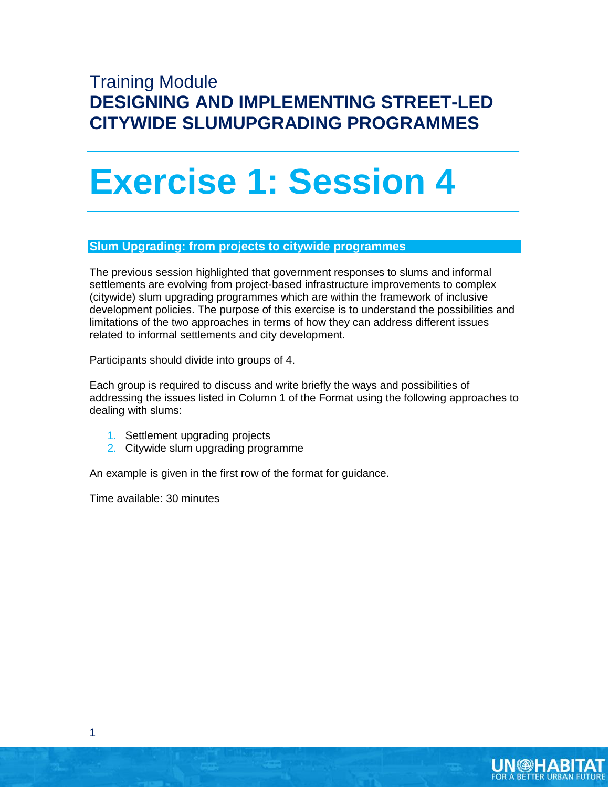## Training Module **DESIGNING AND IMPLEMENTING STREET-LED CITYWIDE SLUMUPGRADING PROGRAMMES**

## **Exercise 1: Session 4**

## **Slum Upgrading: from projects to citywide programmes**

The previous session highlighted that government responses to slums and informal settlements are evolving from project-based infrastructure improvements to complex (citywide) slum upgrading programmes which are within the framework of inclusive development policies. The purpose of this exercise is to understand the possibilities and limitations of the two approaches in terms of how they can address different issues related to informal settlements and city development.

Participants should divide into groups of 4.

Each group is required to discuss and write briefly the ways and possibilities of addressing the issues listed in Column 1 of the Format using the following approaches to dealing with slums:

- 1. Settlement upgrading projects
- 2. Citywide slum upgrading programme

An example is given in the first row of the format for guidance.

Time available: 30 minutes



1